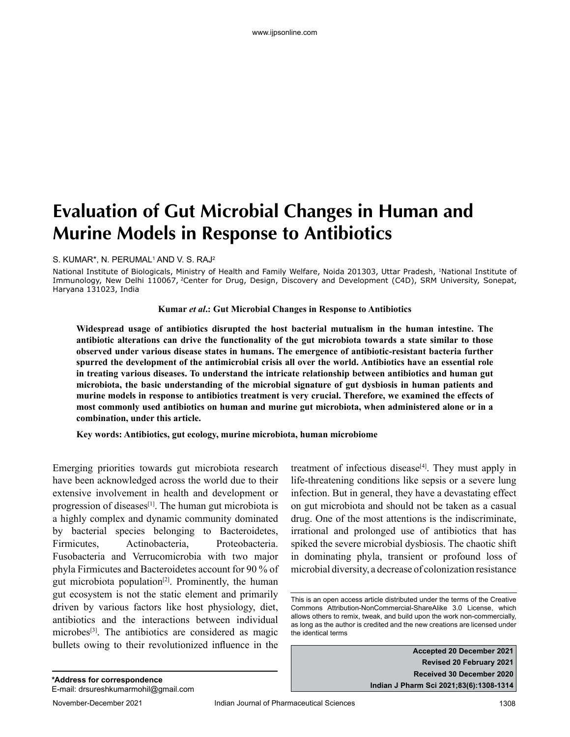# **Evaluation of Gut Microbial Changes in Human and Murine Models in Response to Antibiotics**

### S. KUMAR\*, N. PERUMAL<sup>1</sup> AND V. S. RAJ<sup>2</sup>

National Institute of Biologicals, Ministry of Health and Family Welfare, Noida 201303, Uttar Pradesh, <sup>1</sup>National Institute of Immunology, New Delhi 110067, <sup>2</sup>Center for Drug, Design, Discovery and Development (C4D), SRM University, Sonepat, Haryana 131023, India

### **Kumar** *et al***.: Gut Microbial Changes in Response to Antibiotics**

**Widespread usage of antibiotics disrupted the host bacterial mutualism in the human intestine. The antibiotic alterations can drive the functionality of the gut microbiota towards a state similar to those observed under various disease states in humans. The emergence of antibiotic-resistant bacteria further spurred the development of the antimicrobial crisis all over the world. Antibiotics have an essential role in treating various diseases. To understand the intricate relationship between antibiotics and human gut microbiota, the basic understanding of the microbial signature of gut dysbiosis in human patients and murine models in response to antibiotics treatment is very crucial. Therefore, we examined the effects of most commonly used antibiotics on human and murine gut microbiota, when administered alone or in a combination, under this article.**

**Key words: Antibiotics, gut ecology, murine microbiota, human microbiome**

Emerging priorities towards gut microbiota research have been acknowledged across the world due to their extensive involvement in health and development or progression of diseases $[1]$ . The human gut microbiota is a highly complex and dynamic community dominated by bacterial species belonging to Bacteroidetes, Firmicutes, Actinobacteria, Proteobacteria. Fusobacteria and Verrucomicrobia with two major phyla Firmicutes and Bacteroidetes account for 90 % of gut microbiota population<sup>[2]</sup>. Prominently, the human gut ecosystem is not the static element and primarily driven by various factors like host physiology, diet, antibiotics and the interactions between individual microbes<sup>[3]</sup>. The antibiotics are considered as magic bullets owing to their revolutionized influence in the treatment of infectious disease<sup>[4]</sup>. They must apply in life-threatening conditions like sepsis or a severe lung infection. But in general, they have a devastating effect on gut microbiota and should not be taken as a casual drug. One of the most attentions is the indiscriminate, irrational and prolonged use of antibiotics that has spiked the severe microbial dysbiosis. The chaotic shift in dominating phyla, transient or profound loss of microbial diversity, a decrease of colonization resistance

**Accepted 20 December 2021 Revised 20 February 2021 Received 30 December 2020 Indian J Pharm Sci 2021;83(6):1308-1314**

This is an open access article distributed under the terms of the Creative Commons Attribution-NonCommercial-ShareAlike 3.0 License, which allows others to remix, tweak, and build upon the work non-commercially, as long as the author is credited and the new creations are licensed under the identical terms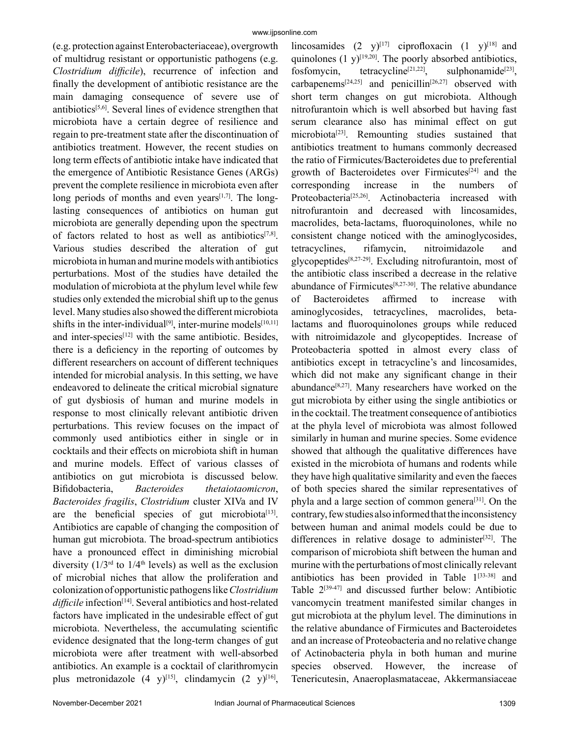(e.g. protection against Enterobacteriaceae), overgrowth of multidrug resistant or opportunistic pathogens (e.g. *Clostridium difficile*), recurrence of infection and finally the development of antibiotic resistance are the main damaging consequence of severe use of antibiotics $[5,6]$ . Several lines of evidence strengthen that microbiota have a certain degree of resilience and regain to pre-treatment state after the discontinuation of antibiotics treatment. However, the recent studies on long term effects of antibiotic intake have indicated that the emergence of Antibiotic Resistance Genes (ARGs) prevent the complete resilience in microbiota even after long periods of months and even years $[1,7]$ . The longlasting consequences of antibiotics on human gut microbiota are generally depending upon the spectrum of factors related to host as well as antibiotics $[7,8]$ . Various studies described the alteration of gut microbiota in human and murine models with antibiotics perturbations. Most of the studies have detailed the modulation of microbiota at the phylum level while few studies only extended the microbial shift up to the genus level. Many studies also showed the different microbiota shifts in the inter-individual<sup>[9]</sup>, inter-murine models<sup>[10,11]</sup> and inter-species $[12]$  with the same antibiotic. Besides, there is a deficiency in the reporting of outcomes by different researchers on account of different techniques intended for microbial analysis. In this setting, we have endeavored to delineate the critical microbial signature of gut dysbiosis of human and murine models in response to most clinically relevant antibiotic driven perturbations. This review focuses on the impact of commonly used antibiotics either in single or in cocktails and their effects on microbiota shift in human and murine models. Effect of various classes of antibiotics on gut microbiota is discussed below. Bifidobacteria, *Bacteroides thetaiotaomicron*, *Bacteroides fragilis*, *Clostridium* cluster XIVa and IV are the beneficial species of gut microbiota<sup>[13]</sup>. Antibiotics are capable of changing the composition of human gut microbiota. The broad-spectrum antibiotics have a pronounced effect in diminishing microbial diversity  $(1/3<sup>rd</sup>$  to  $1/4<sup>th</sup>$  levels) as well as the exclusion of microbial niches that allow the proliferation and colonization of opportunistic pathogens like *Clostridium*  difficile infection<sup>[14]</sup>. Several antibiotics and host-related factors have implicated in the undesirable effect of gut microbiota. Nevertheless, the accumulating scientific evidence designated that the long-term changes of gut microbiota were after treatment with well-absorbed antibiotics. An example is a cocktail of clarithromycin plus metronidazole  $(4 \text{ y})^{[15]}$ , clindamycin  $(2 \text{ y})^{[16]}$ ,

lincosamides  $(2 \text{ y})^{[17]}$  ciprofloxacin  $(1 \text{ y})^{[18]}$  and quinolones  $(1 \text{ y})^{[19,20]}$ . The poorly absorbed antibiotics, fosfomycin, tetracycline<sup>[21,22]</sup>, sulphonamide<sup>[23]</sup>, carbapenems<sup>[24,25]</sup> and penicillin<sup>[26,27]</sup> observed with short term changes on gut microbiota. Although nitrofurantoin which is well absorbed but having fast serum clearance also has minimal effect on gut microbiota[23]. Remounting studies sustained that antibiotics treatment to humans commonly decreased the ratio of Firmicutes/Bacteroidetes due to preferential growth of Bacteroidetes over Firmicutes<sup>[24]</sup> and the corresponding increase in the numbers of Proteobacteria<sup>[25,26]</sup>. Actinobacteria increased with nitrofurantoin and decreased with lincosamides, macrolides, beta-lactams, fluoroquinolones, while no consistent change noticed with the aminoglycosides, tetracyclines, rifamycin, nitroimidazole and glycopeptides[8,27-29]. Excluding nitrofurantoin, most of the antibiotic class inscribed a decrease in the relative abundance of Firmicutes[8,27-30]. The relative abundance of Bacteroidetes affirmed to increase with aminoglycosides, tetracyclines, macrolides, betalactams and fluoroquinolones groups while reduced with nitroimidazole and glycopeptides. Increase of Proteobacteria spotted in almost every class of antibiotics except in tetracycline's and lincosamides, which did not make any significant change in their abundance[8,27]. Many researchers have worked on the gut microbiota by either using the single antibiotics or in the cocktail. The treatment consequence of antibiotics at the phyla level of microbiota was almost followed similarly in human and murine species. Some evidence showed that although the qualitative differences have existed in the microbiota of humans and rodents while they have high qualitative similarity and even the faeces of both species shared the similar representatives of phyla and a large section of common genera[31]. On the contrary, few studies also informed that the inconsistency between human and animal models could be due to differences in relative dosage to administer<sup>[32]</sup>. The comparison of microbiota shift between the human and murine with the perturbations of most clinically relevant antibiotics has been provided in Table  $1^{[33-38]}$  and Table  $2^{[39-47]}$  and discussed further below: Antibiotic vancomycin treatment manifested similar changes in gut microbiota at the phylum level. The diminutions in the relative abundance of Firmicutes and Bacteroidetes and an increase of Proteobacteria and no relative change of Actinobacteria phyla in both human and murine species observed. However, the increase of Tenericutesin, Anaeroplasmataceae, Akkermansiaceae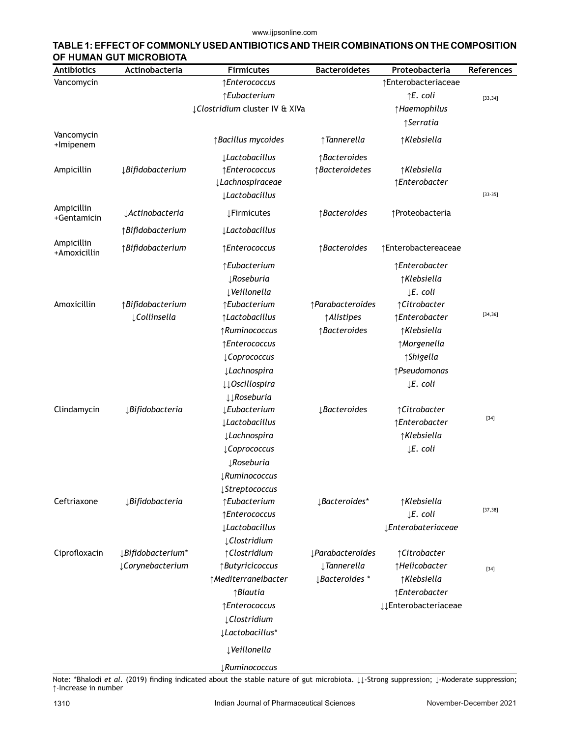www.ijpsonline.com

| TABLE 1: EFFECT OF COMMONLY USED ANTIBIOTICS AND THEIR COMBINATIONS ON THE COMPOSITION |
|----------------------------------------------------------------------------------------|
| OF HUMAN GUT MICROBIOTA                                                                |

| <b>Antibiotics</b>         | Actinobacteria                  | <b>Firmicutes</b>                 | <b>Bacteroidetes</b>                  | Proteobacteria              | References |
|----------------------------|---------------------------------|-----------------------------------|---------------------------------------|-----------------------------|------------|
| Vancomycin                 |                                 | ↑Enterococcus                     |                                       | ↑Enterobacteriaceae         |            |
|                            |                                 | ↑Eubacterium                      |                                       | $\uparrow$ E. coli          | [33, 34]   |
|                            |                                 | ¿Clostridium cluster IV & XIVa    |                                       | ↑Haemophilus                |            |
|                            |                                 |                                   |                                       | ↑Serratia                   |            |
| Vancomycin<br>+Imipenem    |                                 | ↑ Bacillus mycoides               | ↑Tannerella                           | ↑Klebsiella                 |            |
|                            |                                 | <i><u>Lactobacillus</u></i>       | ↑Bacteroides                          |                             |            |
| Ampicillin                 | <i><b>\Bifidobacterium</b></i>  | ↑Enterococcus                     | ↑Bacteroidetes                        | ↑Klebsiella                 |            |
|                            |                                 | <i>JLachnospiraceae</i>           |                                       | ↑Enterobacter               |            |
|                            |                                 | <b>Lactobacillus</b>              |                                       |                             | $[33-35]$  |
| Ampicillin<br>+Gentamicin  | <i>Actinobacteria</i>           | <b>ĮFirmicutes</b>                | ↑Bacteroides                          | ↑Proteobacteria             |            |
|                            | ↑Bifidobacterium                | <i><u>Lactobacillus</u></i>       |                                       |                             |            |
| Ampicillin<br>+Amoxicillin | ↑Bifidobacterium                | ↑Enterococcus                     | ↑Bacteroides                          | ↑Enterobactereaceae         |            |
|                            |                                 | ↑Eubacterium                      |                                       | ↑Enterobacter               |            |
|                            |                                 | <b>JRoseburia</b>                 |                                       | ↑Klebsiella                 |            |
|                            |                                 | ↓Veillonella                      |                                       | $\downarrow$ E. coli        |            |
| Amoxicillin                | ↑Bifidobacterium                | ↑Eubacterium                      | ↑Parabacteroides                      | ↑Citrobacter                |            |
|                            | LCollinsella                    | ↑Lactobacillus                    | <i><b>Alistipes</b></i>               | ↑Enterobacter               | [34, 36]   |
|                            |                                 | ↑Ruminococcus                     | ↑Bacteroides                          | ↑Klebsiella                 |            |
|                            |                                 | ↑Enterococcus                     |                                       | ↑Morgenella                 |            |
|                            |                                 | ¿Coprococcus                      |                                       | ↑Shigella                   |            |
|                            |                                 | ↓ Lachnospira                     |                                       | ↑Pseudomonas                |            |
|                            |                                 | ↓↓ Oscillospira                   |                                       | ↓E. coli                    |            |
|                            |                                 | $\downarrow \downarrow$ Roseburia |                                       |                             |            |
| Clindamycin                | <b>ĮBifidobacteria</b>          | <b>Lubacterium</b>                | <i>JBacteroides</i>                   | ↑ Citrobacter               | $[34]$     |
|                            |                                 | <i><u>Lactobacillus</u></i>       |                                       | ↑Enterobacter               |            |
|                            |                                 | ↓ Lachnospira                     |                                       | ↑Klebsiella                 |            |
|                            |                                 | ¿Coprococcus                      |                                       | ↓E. coli                    |            |
|                            |                                 | <b>Roseburia</b>                  |                                       |                             |            |
|                            |                                 | LRuminococcus                     |                                       |                             |            |
|                            |                                 | ↓ Streptococcus                   |                                       |                             |            |
| Ceftriaxone                | <b>ĮBifidobacteria</b>          | ↑Eubacterium                      | <i>LBacteroides*</i>                  | ↑Klebsiella                 | [37, 38]   |
|                            |                                 | ↑Enterococcus                     |                                       | $\downarrow$ E. coli        |            |
|                            |                                 | <b>Lactobacillus</b>              |                                       | ¿Enterobateriaceae          |            |
|                            |                                 | ¿Clostridium                      |                                       |                             |            |
| Ciprofloxacin              | <i><b>\Bifidobacterium*</b></i> | ↑ Clostridium                     | <i><u><b>µParabacteroides</b></u></i> | ↑ Citrobacter               |            |
|                            | ¿Corynebacterium                | ↑ Butyricicoccus                  | ↓Tannerella                           | ↑Helicobacter               | $[34]$     |
|                            |                                 | ↑Mediterraneibacter               | <i>LBacteroides</i> *                 | ↑Klebsiella                 |            |
|                            |                                 | ↑Blautia                          |                                       | ↑Enterobacter               |            |
|                            |                                 | ↑Enterococcus                     |                                       | <b>JJEnterobacteriaceae</b> |            |
|                            |                                 | ¿Clostridium                      |                                       |                             |            |
|                            |                                 | ¿Lactobacillus*                   |                                       |                             |            |
|                            |                                 | ↓Veillonella                      |                                       |                             |            |
|                            |                                 | <b><i>µRuminococcus</i></b>       |                                       |                             |            |

Note: \*Bhalodi *et al.* (2019) finding indicated about the stable nature of gut microbiota. ↓↓-Strong suppression; ↓-Moderate suppression; ↑-Increase in number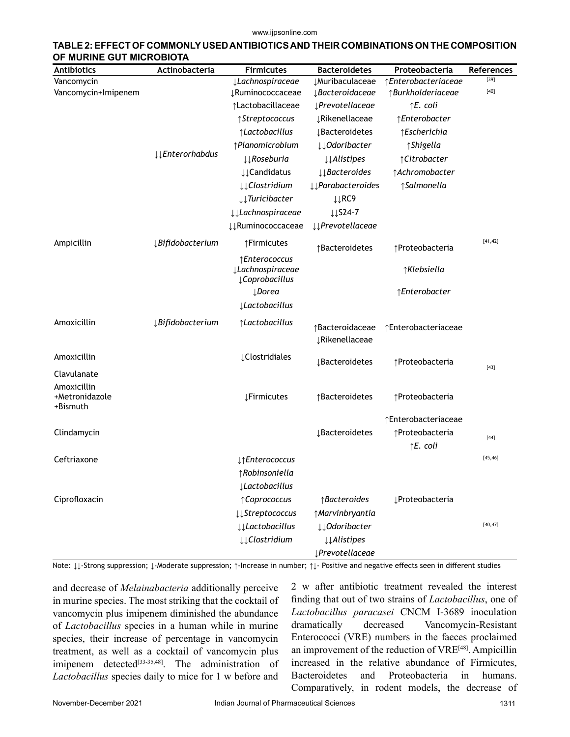#### www.ijpsonline.com

| <b>Antibiotics</b>                        | Actinobacteria          | <b>Firmicutes</b>                                           | <b>Bacteroidetes</b>                     | Proteobacteria         | <b>References</b> |
|-------------------------------------------|-------------------------|-------------------------------------------------------------|------------------------------------------|------------------------|-------------------|
| Vancomycin                                |                         | <i><u>Lachnospiraceae</u></i>                               | <b>JMuribaculaceae</b>                   | ↑Enterobacteriaceae    | $[39]$            |
| Vancomycin+Imipenem                       |                         | <b>JRuminococcaceae</b>                                     | <i>JBacteroidaceae</i>                   | ↑Burkholderiaceae      | $[40]$            |
|                                           |                         | ↑Lactobacillaceae                                           | <i><u><b>SPrevotellaceae</b></u></i>     | $\uparrow$ E. coli     |                   |
|                                           |                         | ↑Streptococcus                                              | <b>JRikenellaceae</b>                    | ↑Enterobacter          |                   |
|                                           |                         | ↑Lactobacillus                                              | <b>J</b> Bacteroidetes                   | ↑Escherichia           |                   |
|                                           | <b>JJEnterorhabdus</b>  | ↑Planomicrobium                                             | <b>JJOdoribacter</b>                     | ↑Shigella              |                   |
|                                           |                         | $\downarrow \downarrow$ Roseburia                           | $\downarrow \downarrow$ Alistipes        | ↑ Citrobacter          |                   |
|                                           |                         | <b>JJCandidatus</b>                                         | $\downarrow \downarrow$ Bacteroides      | ↑ Achromobacter        |                   |
|                                           |                         | <b>LLClostridium</b>                                        | <i>Il</i> Parabacteroides                | ↑ Salmonella           |                   |
|                                           |                         | $\downarrow \downarrow$ Turicibacter                        | ↓↓RC9                                    |                        |                   |
|                                           |                         | <i>VLachnospiraceae</i>                                     | $\downarrow \downarrow$ S24-7            |                        |                   |
|                                           |                         | ↓↓Ruminococcaceae                                           | <b><i>\\Prevotellaceae</i></b>           |                        |                   |
| Ampicillin                                | <i>JBifidobacterium</i> | ↑Firmicutes                                                 | ↑Bacteroidetes                           | ↑Proteobacteria        | [41, 42]          |
|                                           |                         | ↑Enterococcus<br><i>J</i> Lachnospiraceae<br>¿Coprobacillus |                                          | ↑Klebsiella            |                   |
|                                           |                         | <b>LDorea</b>                                               |                                          | ↑Enterobacter          |                   |
|                                           |                         | <b>Lactobacillus</b>                                        |                                          |                        |                   |
| Amoxicillin                               | <i>JBifidobacterium</i> | ↑Lactobacillus                                              | ↑Bacteroidaceae<br><b>JRikenellaceae</b> | ↑Enterobacteriaceae    |                   |
| Amoxicillin                               |                         | <b>¿Clostridiales</b>                                       | <b>J</b> Bacteroidetes                   | ↑Proteobacteria        |                   |
| Clavulanate                               |                         |                                                             |                                          |                        | $[43]$            |
| Amoxicillin<br>+Metronidazole<br>+Bismuth |                         | <b>ĮFirmicutes</b>                                          | ↑Bacteroidetes                           | ↑Proteobacteria        |                   |
|                                           |                         |                                                             |                                          | ↑Enterobacteriaceae    |                   |
| Clindamycin                               |                         |                                                             | <b>J</b> Bacteroidetes                   | ↑Proteobacteria        | $[44]$            |
|                                           |                         |                                                             |                                          | $\uparrow$ E. coli     |                   |
| Ceftriaxone                               |                         | ↓↑Enterococcus                                              |                                          |                        | [45, 46]          |
|                                           |                         | ↑Robinsoniella                                              |                                          |                        |                   |
|                                           |                         | <b>Lactobacillus</b>                                        |                                          |                        |                   |
| Ciprofloxacin                             |                         | ↑ Coprococcus                                               | ↑Bacteroides                             | <b>JProteobacteria</b> |                   |
|                                           |                         | <b>LStreptococcus</b>                                       | ↑ Marvinbryantia                         |                        |                   |
|                                           |                         | <b>↓↓Lactobacillus</b>                                      | ↓↓Odoribacter                            |                        | [40, 47]          |
|                                           |                         | ↓↓Clostridium                                               | <b><i>Alistipes</i></b>                  |                        |                   |
|                                           |                         |                                                             |                                          |                        |                   |

# **TABLE 2: EFFECT OF COMMONLY USED ANTIBIOTICS AND THEIR COMBINATIONS ON THE COMPOSITION**

Note: ↓↓-Strong suppression; ↓-Moderate suppression; ↑-Increase in number; ↑↓- Positive and negative effects seen in different studies

*↓Prevotellaceae*

and decrease of *Melainabacteria* additionally perceive in murine species. The most striking that the cocktail of vancomycin plus imipenem diminished the abundance of *Lactobacillus* species in a human while in murine species, their increase of percentage in vancomycin treatment, as well as a cocktail of vancomycin plus imipenem detected<sup>[33-35,48]</sup>. The administration of *Lactobacillus* species daily to mice for 1 w before and

2 w after antibiotic treatment revealed the interest finding that out of two strains of *Lactobacillus*, one of *Lactobacillus paracasei* CNCM I-3689 inoculation dramatically decreased Vancomycin-Resistant Enterococci (VRE) numbers in the faeces proclaimed an improvement of the reduction of VRE<sup>[48]</sup>. Ampicillin increased in the relative abundance of Firmicutes, Bacteroidetes and Proteobacteria in humans. Comparatively, in rodent models, the decrease of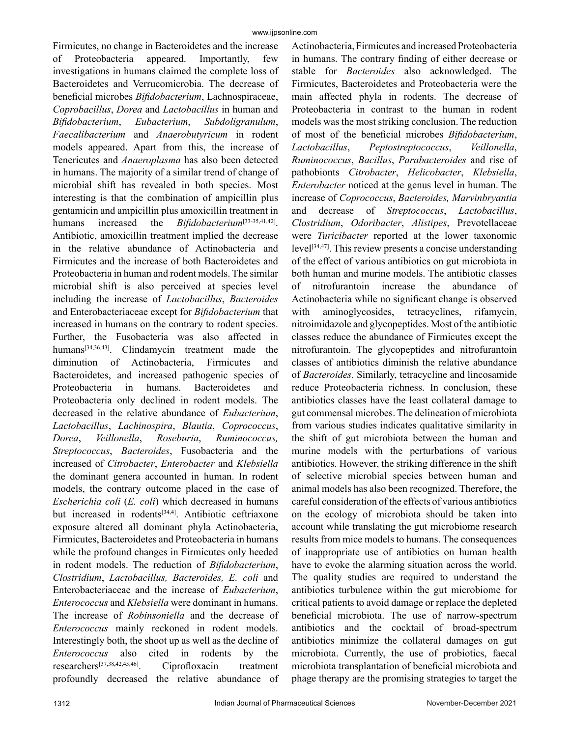Firmicutes, no change in Bacteroidetes and the increase of Proteobacteria appeared. Importantly, few investigations in humans claimed the complete loss of Bacteroidetes and Verrucomicrobia. The decrease of beneficial microbes *Bifidobacterium*, Lachnospiraceae, *Coprobacillus*, *Dorea* and *Lactobacillus* in human and *Bifidobacterium*, *Eubacterium*, *Subdoligranulum*, *Faecalibacterium* and *Anaerobutyricum* in rodent models appeared. Apart from this, the increase of Tenericutes and *Anaeroplasma* has also been detected in humans. The majority of a similar trend of change of microbial shift has revealed in both species. Most interesting is that the combination of ampicillin plus gentamicin and ampicillin plus amoxicillin treatment in humans increased the *Bifidobacterium*<sup>[33-35,41,42]</sup>. Antibiotic, amoxicillin treatment implied the decrease in the relative abundance of Actinobacteria and Firmicutes and the increase of both Bacteroidetes and Proteobacteria in human and rodent models. The similar microbial shift is also perceived at species level including the increase of *Lactobacillus*, *Bacteroides* and Enterobacteriaceae except for *Bifidobacterium* that increased in humans on the contrary to rodent species. Further, the Fusobacteria was also affected in humans<sup>[34,36,43]</sup>. Clindamycin treatment made the diminution of Actinobacteria, Firmicutes and Bacteroidetes, and increased pathogenic species of Proteobacteria in humans. Bacteroidetes and Proteobacteria only declined in rodent models. The decreased in the relative abundance of *Eubacterium*, *Lactobacillus*, *Lachinospira*, *Blautia*, *Coprococcus*, *Dorea*, *Veillonella*, *Roseburia*, *Ruminococcus, Streptococcus*, *Bacteroides*, Fusobacteria and the increased of *Citrobacter*, *Enterobacter* and *Klebsiella*  the dominant genera accounted in human. In rodent models, the contrary outcome placed in the case of *Escherichia coli* (*E. coli*) which decreased in humans but increased in rodents<sup>[34,4]</sup>. Antibiotic ceftriaxone exposure altered all dominant phyla Actinobacteria, Firmicutes, Bacteroidetes and Proteobacteria in humans while the profound changes in Firmicutes only heeded in rodent models. The reduction of *Bifidobacterium*, *Clostridium*, *Lactobacillus, Bacteroides, E. coli* and Enterobacteriaceae and the increase of *Eubacterium*, *Enterococcus* and *Klebsiella* were dominant in humans. The increase of *Robinsoniella* and the decrease of *Enterococcus* mainly reckoned in rodent models. Interestingly both, the shoot up as well as the decline of *Enterococcus* also cited in rodents by the researchers[37,38,42,45,46]. Ciprofloxacin treatment profoundly decreased the relative abundance of

Actinobacteria, Firmicutes and increased Proteobacteria in humans. The contrary finding of either decrease or stable for *Bacteroides* also acknowledged. The Firmicutes, Bacteroidetes and Proteobacteria were the main affected phyla in rodents. The decrease of Proteobacteria in contrast to the human in rodent models was the most striking conclusion. The reduction of most of the beneficial microbes *Bifidobacterium*, *Lactobacillus*, *Peptostreptococcus*, *Veillonella*, *Ruminococcus*, *Bacillus*, *Parabacteroides* and rise of pathobionts *Citrobacter*, *Helicobacter*, *Klebsiella*, *Enterobacter* noticed at the genus level in human. The increase of *Coprococcus*, *Bacteroides, Marvinbryantia* and decrease of *Streptococcus*, *Lactobacillus*, *Clostridium*, *Odoribacter*, *Alistipes*, Prevotellaceae were *Turicibacter* reported at the lower taxonomic level[34,47]. This review presents a concise understanding of the effect of various antibiotics on gut microbiota in both human and murine models. The antibiotic classes of nitrofurantoin increase the abundance of Actinobacteria while no significant change is observed with aminoglycosides, tetracyclines, rifamycin, nitroimidazole and glycopeptides. Most of the antibiotic classes reduce the abundance of Firmicutes except the nitrofurantoin. The glycopeptides and nitrofurantoin classes of antibiotics diminish the relative abundance of *Bacteroides*. Similarly, tetracycline and lincosamide reduce Proteobacteria richness. In conclusion, these antibiotics classes have the least collateral damage to gut commensal microbes. The delineation of microbiota from various studies indicates qualitative similarity in the shift of gut microbiota between the human and murine models with the perturbations of various antibiotics. However, the striking difference in the shift of selective microbial species between human and animal models has also been recognized. Therefore, the careful consideration of the effects of various antibiotics on the ecology of microbiota should be taken into account while translating the gut microbiome research results from mice models to humans. The consequences of inappropriate use of antibiotics on human health have to evoke the alarming situation across the world. The quality studies are required to understand the antibiotics turbulence within the gut microbiome for critical patients to avoid damage or replace the depleted beneficial microbiota. The use of narrow-spectrum antibiotics and the cocktail of broad-spectrum antibiotics minimize the collateral damages on gut microbiota. Currently, the use of probiotics, faecal microbiota transplantation of beneficial microbiota and phage therapy are the promising strategies to target the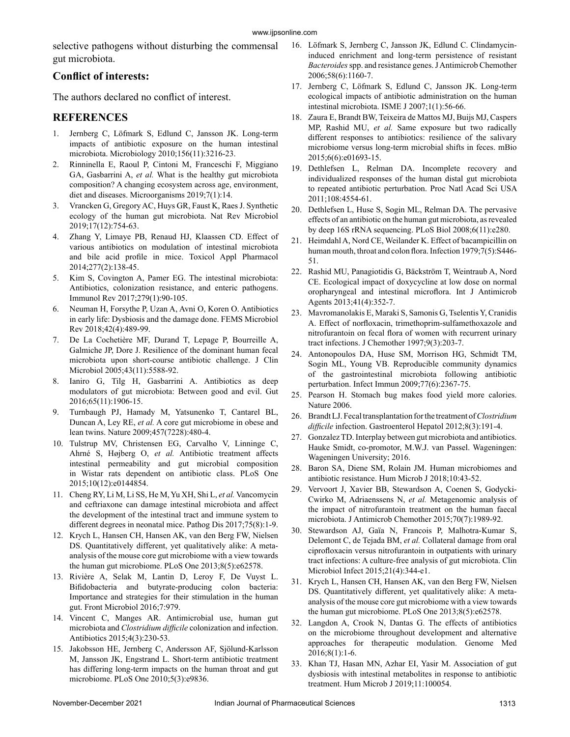selective pathogens without disturbing the commensal gut microbiota.

## **Conflict of interests:**

The authors declared no conflict of interest.

## **REFERENCES**

- 1. Jernberg C, Löfmark S, Edlund C, Jansson JK. Long-term impacts of antibiotic exposure on the human intestinal microbiota. Microbiology 2010;156(11):3216-23.
- 2. Rinninella E, Raoul P, Cintoni M, Franceschi F, Miggiano GA, Gasbarrini A, *et al.* What is the healthy gut microbiota composition? A changing ecosystem across age, environment, diet and diseases. Microorganisms 2019;7(1):14.
- 3. Vrancken G, Gregory AC, Huys GR, Faust K, Raes J. Synthetic ecology of the human gut microbiota. Nat Rev Microbiol 2019;17(12):754-63.
- 4. Zhang Y, Limaye PB, Renaud HJ, Klaassen CD. Effect of various antibiotics on modulation of intestinal microbiota and bile acid profile in mice. Toxicol Appl Pharmacol 2014;277(2):138-45.
- 5. Kim S, Covington A, Pamer EG. The intestinal microbiota: Antibiotics, colonization resistance, and enteric pathogens. Immunol Rev 2017;279(1):90-105.
- 6. Neuman H, Forsythe P, Uzan A, Avni O, Koren O. Antibiotics in early life: Dysbiosis and the damage done. FEMS Microbiol Rev 2018;42(4):489-99.
- 7. De La Cochetière MF, Durand T, Lepage P, Bourreille A, Galmiche JP, Dore J. Resilience of the dominant human fecal microbiota upon short-course antibiotic challenge. J Clin Microbiol 2005;43(11):5588-92.
- 8. Ianiro G, Tilg H, Gasbarrini A. Antibiotics as deep modulators of gut microbiota: Between good and evil. Gut 2016;65(11):1906-15.
- 9. Turnbaugh PJ, Hamady M, Yatsunenko T, Cantarel BL, Duncan A, Ley RE, *et al.* A core gut microbiome in obese and lean twins. Nature 2009;457(7228):480-4.
- 10. Tulstrup MV, Christensen EG, Carvalho V, Linninge C, Ahrné S, Højberg O, *et al.* Antibiotic treatment affects intestinal permeability and gut microbial composition in Wistar rats dependent on antibiotic class. PLoS One 2015;10(12):e0144854.
- 11. Cheng RY, Li M, Li SS, He M, Yu XH, Shi L, *et al.* Vancomycin and ceftriaxone can damage intestinal microbiota and affect the development of the intestinal tract and immune system to different degrees in neonatal mice. Pathog Dis 2017;75(8):1-9.
- 12. Krych L, Hansen CH, Hansen AK, van den Berg FW, Nielsen DS. Quantitatively different, yet qualitatively alike: A metaanalysis of the mouse core gut microbiome with a view towards the human gut microbiome. PLoS One 2013;8(5):e62578.
- 13. Rivière A, Selak M, Lantin D, Leroy F, De Vuyst L. Bifidobacteria and butyrate-producing colon bacteria: Importance and strategies for their stimulation in the human gut. Front Microbiol 2016;7:979.
- 14. Vincent C, Manges AR. Antimicrobial use, human gut microbiota and *Clostridium difficile* colonization and infection. Antibiotics 2015;4(3):230-53.
- 15. Jakobsson HE, Jernberg C, Andersson AF, Sjölund-Karlsson M, Jansson JK, Engstrand L. Short-term antibiotic treatment has differing long-term impacts on the human throat and gut microbiome. PLoS One 2010;5(3):e9836.
- 16. Löfmark S, Jernberg C, Jansson JK, Edlund C. Clindamycininduced enrichment and long-term persistence of resistant *Bacteroides* spp. and resistance genes. J Antimicrob Chemother 2006;58(6):1160-7.
- 17. Jernberg C, Löfmark S, Edlund C, Jansson JK. Long-term ecological impacts of antibiotic administration on the human intestinal microbiota. ISME J 2007;1(1):56-66.
- 18. Zaura E, Brandt BW, Teixeira de Mattos MJ, Buijs MJ, Caspers MP, Rashid MU, *et al.* Same exposure but two radically different responses to antibiotics: resilience of the salivary microbiome versus long-term microbial shifts in feces. mBio 2015;6(6):e01693-15.
- 19. Dethlefsen L, Relman DA. Incomplete recovery and individualized responses of the human distal gut microbiota to repeated antibiotic perturbation. Proc Natl Acad Sci USA 2011;108:4554-61.
- 20. Dethlefsen L, Huse S, Sogin ML, Relman DA. The pervasive effects of an antibiotic on the human gut microbiota, as revealed by deep 16S rRNA sequencing. PLoS Biol 2008;6(11):e280.
- 21. Heimdahl A, Nord CE, Weilander K. Effect of bacampicillin on human mouth, throat and colon flora. Infection 1979;7(5):S446- 51.
- 22. Rashid MU, Panagiotidis G, Bäckström T, Weintraub A, Nord CE. Ecological impact of doxycycline at low dose on normal oropharyngeal and intestinal microflora. Int J Antimicrob Agents 2013;41(4):352-7.
- 23. Mavromanolakis E, Maraki S, Samonis G, Tselentis Y, Cranidis A. Effect of norfloxacin, trimethoprim-sulfamethoxazole and nitrofurantoin on fecal flora of women with recurrent urinary tract infections. J Chemother 1997;9(3):203-7.
- 24. Antonopoulos DA, Huse SM, Morrison HG, Schmidt TM, Sogin ML, Young VB. Reproducible community dynamics of the gastrointestinal microbiota following antibiotic perturbation. Infect Immun 2009;77(6):2367-75.
- 25. Pearson H. Stomach bug makes food yield more calories. Nature 2006.
- 26. Brandt LJ. Fecal transplantation for the treatment of *Clostridium difficile* infection. Gastroenterol Hepatol 2012;8(3):191-4.
- 27. Gonzalez TD. Interplay between gut microbiota and antibiotics. Hauke Smidt, co-promotor, M.W.J. van Passel. Wageningen: Wageningen University; 2016.
- 28. Baron SA, Diene SM, Rolain JM. Human microbiomes and antibiotic resistance. Hum Microb J 2018;10:43-52.
- 29. Vervoort J, Xavier BB, Stewardson A, Coenen S, Godycki-Cwirko M, Adriaenssens N, *et al.* Metagenomic analysis of the impact of nitrofurantoin treatment on the human faecal microbiota. J Antimicrob Chemother 2015;70(7):1989-92.
- 30. Stewardson AJ, Gaïa N, Francois P, Malhotra-Kumar S, Delemont C, de Tejada BM, *et al.* Collateral damage from oral ciprofloxacin versus nitrofurantoin in outpatients with urinary tract infections: A culture-free analysis of gut microbiota. Clin Microbiol Infect 2015;21(4):344-e1.
- 31. Krych L, Hansen CH, Hansen AK, van den Berg FW, Nielsen DS. Quantitatively different, yet qualitatively alike: A metaanalysis of the mouse core gut microbiome with a view towards the human gut microbiome. PLoS One 2013;8(5):e62578.
- 32. Langdon A, Crook N, Dantas G. The effects of antibiotics on the microbiome throughout development and alternative approaches for therapeutic modulation. Genome Med 2016;8(1):1-6.
- 33. Khan TJ, Hasan MN, Azhar EI, Yasir M. Association of gut dysbiosis with intestinal metabolites in response to antibiotic treatment. Hum Microb J 2019;11:100054.